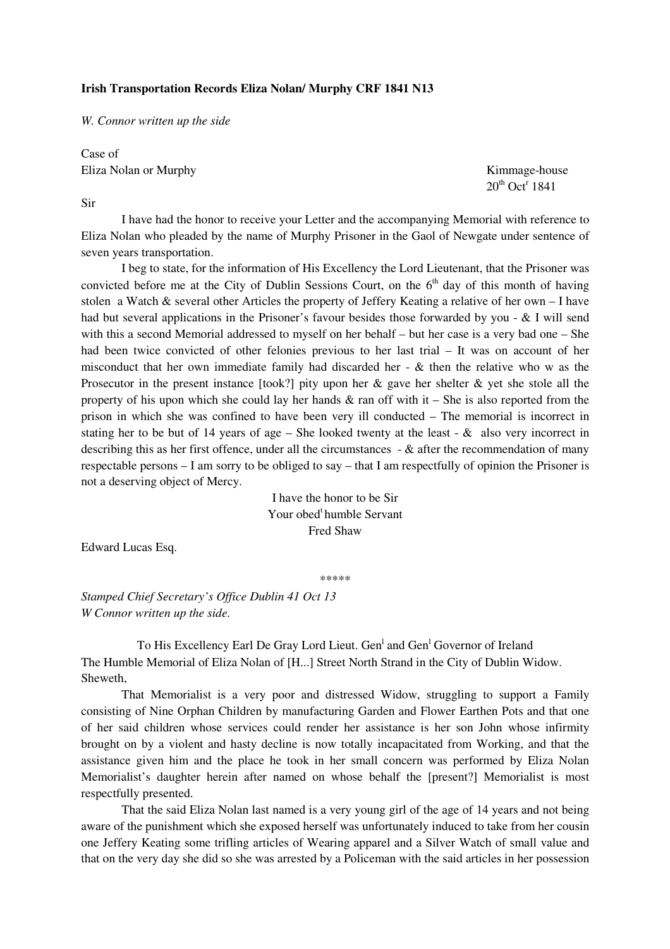#### **Irish Transportation Records Eliza Nolan/ Murphy CRF 1841 N13**

*W. Connor written up the side* 

Case of Eliza Nolan or Murphy Kimmage-house

Sir

 I have had the honor to receive your Letter and the accompanying Memorial with reference to Eliza Nolan who pleaded by the name of Murphy Prisoner in the Gaol of Newgate under sentence of seven years transportation.

 I beg to state, for the information of His Excellency the Lord Lieutenant, that the Prisoner was convicted before me at the City of Dublin Sessions Court, on the  $6<sup>th</sup>$  day of this month of having stolen a Watch & several other Articles the property of Jeffery Keating a relative of her own – I have had but several applications in the Prisoner's favour besides those forwarded by you - & I will send with this a second Memorial addressed to myself on her behalf – but her case is a very bad one – She had been twice convicted of other felonies previous to her last trial – It was on account of her misconduct that her own immediate family had discarded her - & then the relative who w as the Prosecutor in the present instance [took?] pity upon her & gave her shelter & yet she stole all the property of his upon which she could lay her hands & ran off with it – She is also reported from the prison in which she was confined to have been very ill conducted – The memorial is incorrect in stating her to be but of 14 years of age – She looked twenty at the least - & also very incorrect in describing this as her first offence, under all the circumstances  $-\&$  after the recommendation of many respectable persons – I am sorry to be obliged to say – that I am respectfully of opinion the Prisoner is not a deserving object of Mercy.

> I have the honor to be Sir Your obed<sup>t</sup> humble Servant Fred Shaw

Edward Lucas Esq.

.<br>منابع منابع منابع منابع من

*Stamped Chief Secretary's Office Dublin 41 Oct 13 W Connor written up the side.* 

To His Excellency Earl De Gray Lord Lieut. Gen<sup>1</sup> and Gen<sup>1</sup> Governor of Ireland The Humble Memorial of Eliza Nolan of [H...] Street North Strand in the City of Dublin Widow. Sheweth,

 That Memorialist is a very poor and distressed Widow, struggling to support a Family consisting of Nine Orphan Children by manufacturing Garden and Flower Earthen Pots and that one of her said children whose services could render her assistance is her son John whose infirmity brought on by a violent and hasty decline is now totally incapacitated from Working, and that the assistance given him and the place he took in her small concern was performed by Eliza Nolan Memorialist's daughter herein after named on whose behalf the [present?] Memorialist is most respectfully presented.

 That the said Eliza Nolan last named is a very young girl of the age of 14 years and not being aware of the punishment which she exposed herself was unfortunately induced to take from her cousin one Jeffery Keating some trifling articles of Wearing apparel and a Silver Watch of small value and that on the very day she did so she was arrested by a Policeman with the said articles in her possession

 $20^{th}$  Oct<sup>r</sup>  $20^{th}$  Oct<sup>r</sup> 1841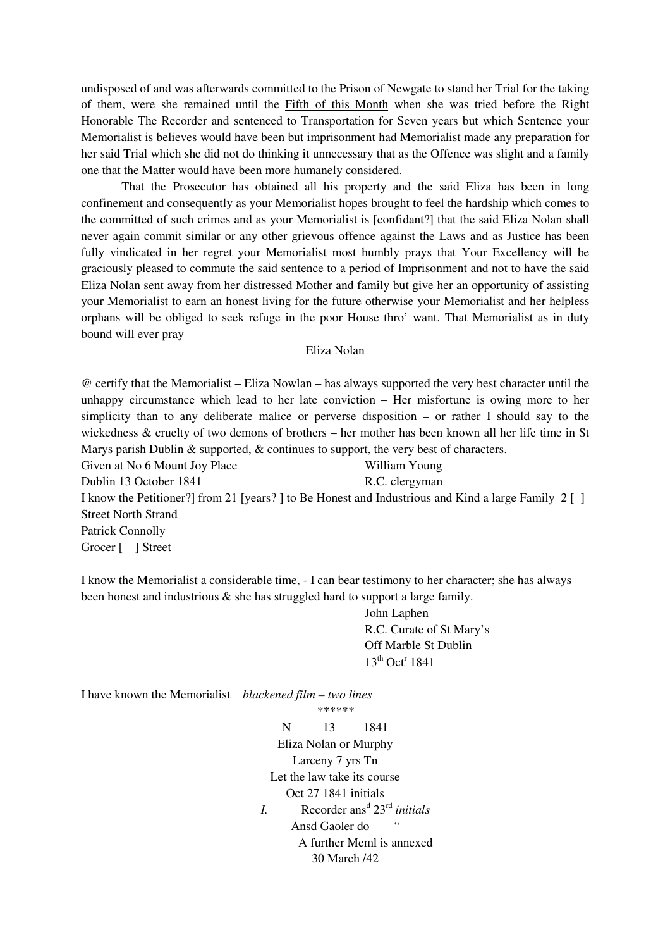undisposed of and was afterwards committed to the Prison of Newgate to stand her Trial for the taking of them, were she remained until the Fifth of this Month when she was tried before the Right Honorable The Recorder and sentenced to Transportation for Seven years but which Sentence your Memorialist is believes would have been but imprisonment had Memorialist made any preparation for her said Trial which she did not do thinking it unnecessary that as the Offence was slight and a family one that the Matter would have been more humanely considered.

 That the Prosecutor has obtained all his property and the said Eliza has been in long confinement and consequently as your Memorialist hopes brought to feel the hardship which comes to the committed of such crimes and as your Memorialist is [confidant?] that the said Eliza Nolan shall never again commit similar or any other grievous offence against the Laws and as Justice has been fully vindicated in her regret your Memorialist most humbly prays that Your Excellency will be graciously pleased to commute the said sentence to a period of Imprisonment and not to have the said Eliza Nolan sent away from her distressed Mother and family but give her an opportunity of assisting your Memorialist to earn an honest living for the future otherwise your Memorialist and her helpless orphans will be obliged to seek refuge in the poor House thro' want. That Memorialist as in duty bound will ever pray

### Eliza Nolan

@ certify that the Memorialist – Eliza Nowlan – has always supported the very best character until the unhappy circumstance which lead to her late conviction – Her misfortune is owing more to her simplicity than to any deliberate malice or perverse disposition – or rather I should say to the wickedness & cruelty of two demons of brothers – her mother has been known all her life time in St Marys parish Dublin  $\&$  supported,  $\&$  continues to support, the very best of characters.

Given at No 6 Mount Joy Place William Young Dublin 13 October 1841 R.C. clergyman I know the Petitioner?] from 21 [years? ] to Be Honest and Industrious and Kind a large Family 2 [ ] Street North Strand Patrick Connolly Grocer [ ] Street

I know the Memorialist a considerable time, - I can bear testimony to her character; she has always been honest and industrious & she has struggled hard to support a large family.

 John Laphen R.C. Curate of St Mary's Off Marble St Dublin  $13^{th}$  Oct<sup>r</sup>  $13^{th}$  Oct<sup>r</sup> 1841

I have known the Memorialist *blackened film – two lines* 

N 13 1841 Eliza Nolan or Murphy Larceny 7 yrs Tn Let the law take its course Oct 27 1841 initials *I.* Recorder ans<sup>d</sup> 23<sup>rd</sup> *initials* Ansd Gaoler do " A further Meml is annexed 30 March /42

*\*\*\*\*\*\**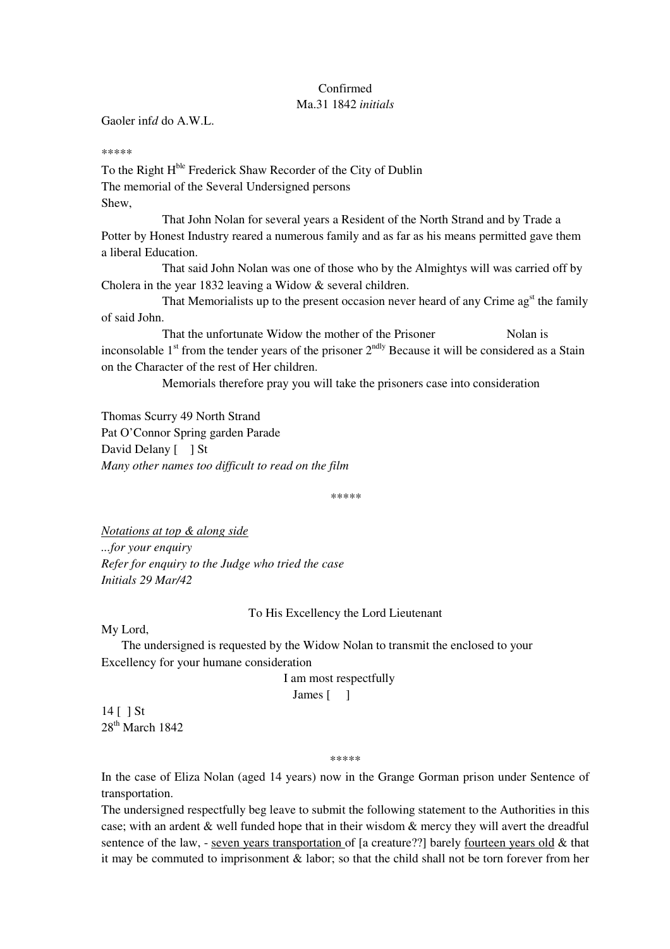# Confirmed

## Ma.31 1842 *initials*

Gaoler inf*d* do A W<sub>L</sub>.

\*\*\*\*\*

To the Right H<sup>ble</sup> Frederick Shaw Recorder of the City of Dublin The memorial of the Several Undersigned persons Shew,

 That John Nolan for several years a Resident of the North Strand and by Trade a Potter by Honest Industry reared a numerous family and as far as his means permitted gave them a liberal Education.

 That said John Nolan was one of those who by the Almightys will was carried off by Cholera in the year 1832 leaving a Widow & several children.

That Memorialists up to the present occasion never heard of any Crime ag<sup>st</sup> the family of said John.

That the unfortunate Widow the mother of the Prisoner Nolan is inconsolable  $1<sup>st</sup>$  from the tender years of the prisoner  $2<sup>ndly</sup>$  Because it will be considered as a Stain on the Character of the rest of Her children.

Memorials therefore pray you will take the prisoners case into consideration

Thomas Scurry 49 North Strand Pat O'Connor Spring garden Parade David Delany [ ] St *Many other names too difficult to read on the film* 

*\*\*\*\*\** 

*Notations at top & along side* 

*...for your enquiry Refer for enquiry to the Judge who tried the case Initials 29 Mar/42* 

### To His Excellency the Lord Lieutenant

My Lord,

 The undersigned is requested by the Widow Nolan to transmit the enclosed to your Excellency for your humane consideration

I am most respectfully

James [ ]

14 [ ] St 28<sup>th</sup> March 1842

\*\*\*\*\*

In the case of Eliza Nolan (aged 14 years) now in the Grange Gorman prison under Sentence of transportation.

The undersigned respectfully beg leave to submit the following statement to the Authorities in this case; with an ardent & well funded hope that in their wisdom & mercy they will avert the dreadful sentence of the law, - seven years transportation of [a creature??] barely fourteen years old & that it may be commuted to imprisonment & labor; so that the child shall not be torn forever from her